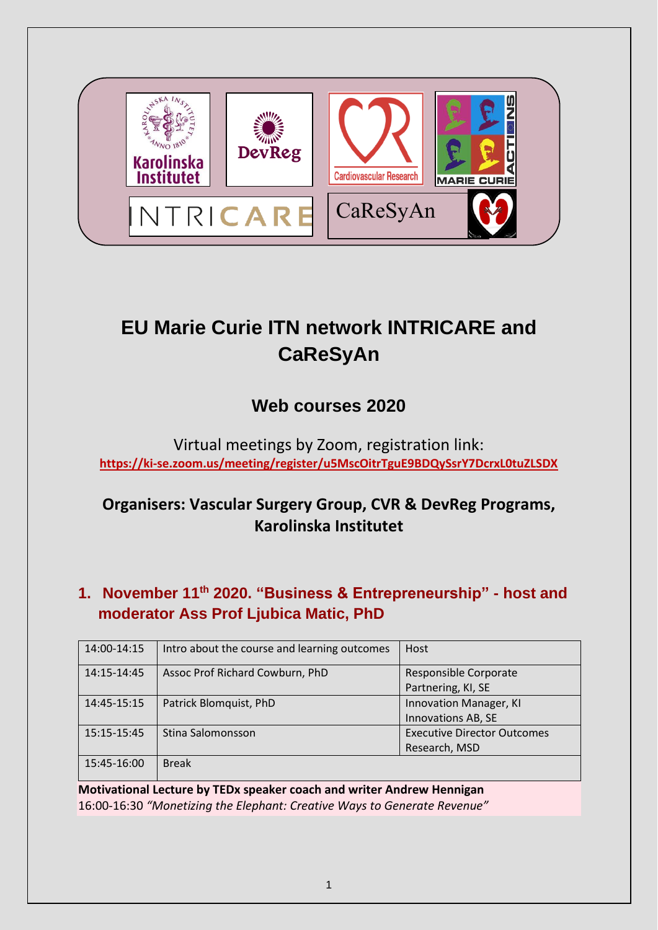

# **EU Marie Curie ITN network INTRICARE and CaReSyAn**

# **Web courses 2020**

Virtual meetings by Zoom, registration link: **<https://ki-se.zoom.us/meeting/register/u5MscOitrTguE9BDQySsrY7DcrxL0tuZLSDX>**

## **Organisers: Vascular Surgery Group, CVR & DevReg Programs, Karolinska Institutet**

### **1. November 11th 2020. "Business & Entrepreneurship" - host and moderator Ass Prof Ljubica Matic, PhD**

| 14:00-14:15 | Intro about the course and learning outcomes | Host                               |
|-------------|----------------------------------------------|------------------------------------|
| 14:15-14:45 | Assoc Prof Richard Cowburn, PhD              | Responsible Corporate              |
|             |                                              | Partnering, KI, SE                 |
| 14:45-15:15 | Patrick Blomquist, PhD                       | Innovation Manager, KI             |
|             |                                              | Innovations AB, SE                 |
| 15:15-15:45 | Stina Salomonsson                            | <b>Executive Director Outcomes</b> |
|             |                                              | Research, MSD                      |
| 15:45-16:00 | <b>Break</b>                                 |                                    |

**Motivational Lecture by TEDx speaker coach and writer Andrew Hennigan** 16:00-16:30 *"Monetizing the Elephant: Creative Ways to Generate Revenue"*